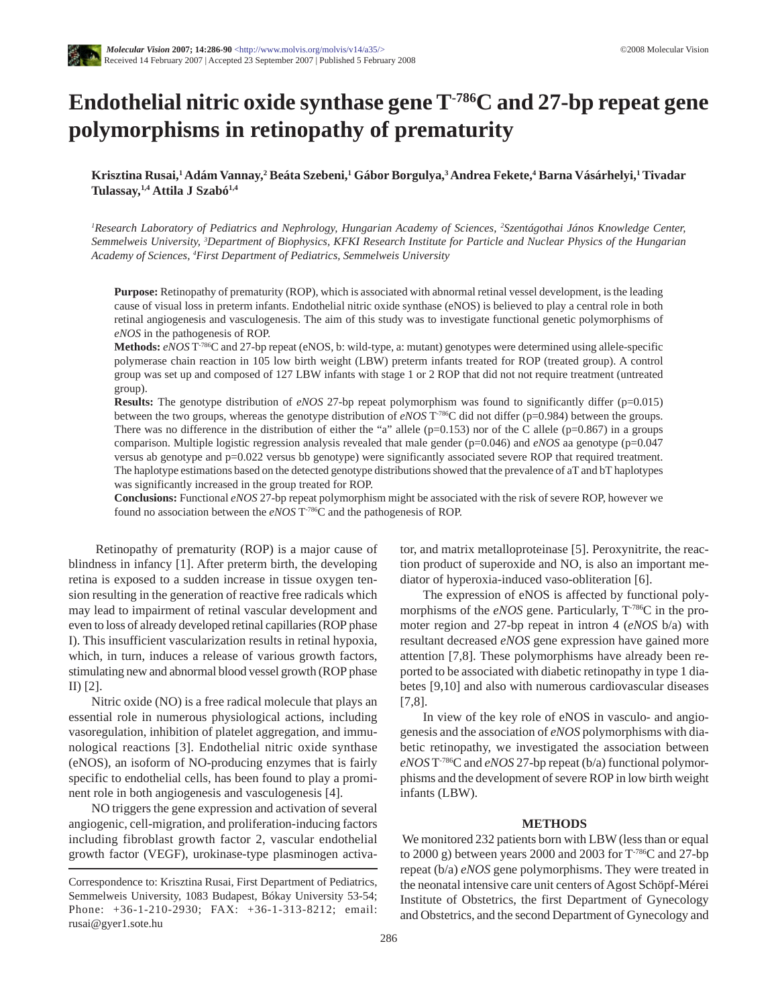

# **Endothelial nitric oxide synthase gene T-786C and 27-bp repeat gene polymorphisms in retinopathy of prematurity**

**Krisztina Rusai,1Adám Vannay,2 Beáta Szebeni,1 Gábor Borgulya,3Andrea Fekete,4 Barna Vásárhelyi,1 Tivadar Tulassay,1,4 Attila J Szabó1,4**

*1 Research Laboratory of Pediatrics and Nephrology, Hungarian Academy of Sciences, 2 Szentágothai János Knowledge Center, Semmelweis University, 3 Department of Biophysics, KFKI Research Institute for Particle and Nuclear Physics of the Hungarian Academy of Sciences, 4 First Department of Pediatrics, Semmelweis University*

**Purpose:** Retinopathy of prematurity (ROP), which is associated with abnormal retinal vessel development, is the leading cause of visual loss in preterm infants. Endothelial nitric oxide synthase (eNOS) is believed to play a central role in both retinal angiogenesis and vasculogenesis. The aim of this study was to investigate functional genetic polymorphisms of *eNOS* in the pathogenesis of ROP.

**Methods:** *eNOS* T-786C and 27-bp repeat (eNOS, b: wild-type, a: mutant) genotypes were determined using allele-specific polymerase chain reaction in 105 low birth weight (LBW) preterm infants treated for ROP (treated group). A control group was set up and composed of 127 LBW infants with stage 1 or 2 ROP that did not not require treatment (untreated group).

**Results:** The genotype distribution of *eNOS* 27-bp repeat polymorphism was found to significantly differ (p=0.015) between the two groups, whereas the genotype distribution of *eNOS* T-786C did not differ (p=0.984) between the groups. There was no difference in the distribution of either the "a" allele ( $p=0.153$ ) nor of the C allele ( $p=0.867$ ) in a groups comparison. Multiple logistic regression analysis revealed that male gender (p=0.046) and *eNOS* aa genotype (p=0.047 versus ab genotype and p=0.022 versus bb genotype) were significantly associated severe ROP that required treatment. The haplotype estimations based on the detected genotype distributions showed that the prevalence of aT and bT haplotypes was significantly increased in the group treated for ROP.

**Conclusions:** Functional *eNOS* 27-bp repeat polymorphism might be associated with the risk of severe ROP, however we found no association between the *eNOS* T-786C and the pathogenesis of ROP.

Retinopathy of prematurity (ROP) is a major cause of blindness in infancy [1]. After preterm birth, the developing retina is exposed to a sudden increase in tissue oxygen tension resulting in the generation of reactive free radicals which may lead to impairment of retinal vascular development and even to loss of already developed retinal capillaries (ROP phase I). This insufficient vascularization results in retinal hypoxia, which, in turn, induces a release of various growth factors, stimulating new and abnormal blood vessel growth (ROP phase II) [2].

Nitric oxide (NO) is a free radical molecule that plays an essential role in numerous physiological actions, including vasoregulation, inhibition of platelet aggregation, and immunological reactions [3]. Endothelial nitric oxide synthase (eNOS), an isoform of NO-producing enzymes that is fairly specific to endothelial cells, has been found to play a prominent role in both angiogenesis and vasculogenesis [4].

NO triggers the gene expression and activation of several angiogenic, cell-migration, and proliferation-inducing factors including fibroblast growth factor 2, vascular endothelial growth factor (VEGF), urokinase-type plasminogen activator, and matrix metalloproteinase [5]. Peroxynitrite, the reaction product of superoxide and NO, is also an important mediator of hyperoxia-induced vaso-obliteration [6].

The expression of eNOS is affected by functional polymorphisms of the *eNOS* gene. Particularly,  $T^{786}C$  in the promoter region and 27-bp repeat in intron 4 (*eNOS* b/a) with resultant decreased *eNOS* gene expression have gained more attention [7,8]. These polymorphisms have already been reported to be associated with diabetic retinopathy in type 1 diabetes [9,10] and also with numerous cardiovascular diseases [7,8].

In view of the key role of eNOS in vasculo- and angiogenesis and the association of *eNOS* polymorphisms with diabetic retinopathy, we investigated the association between *eNOS* T-786C and *eNOS* 27-bp repeat (b/a) functional polymorphisms and the development of severe ROP in low birth weight infants (LBW).

### **METHODS**

We monitored 232 patients born with LBW (less than or equal to 2000 g) between years 2000 and 2003 for T-786C and 27-bp repeat (b/a) *eNOS* gene polymorphisms. They were treated in the neonatal intensive care unit centers of Agost Schöpf-Mérei Institute of Obstetrics, the first Department of Gynecology and Obstetrics, and the second Department of Gynecology and

Correspondence to: Krisztina Rusai, First Department of Pediatrics, Semmelweis University, 1083 Budapest, Bókay University 53-54; Phone: +36-1-210-2930; FAX: +36-1-313-8212; email: rusai@gyer1.sote.hu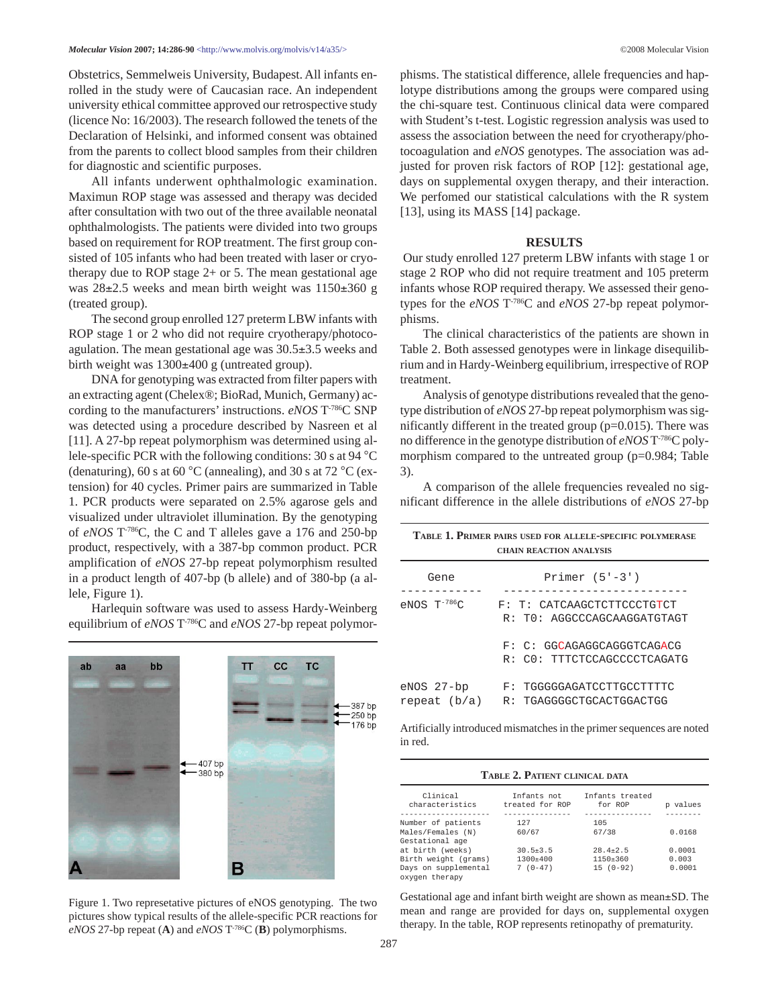Obstetrics, Semmelweis University, Budapest. All infants enrolled in the study were of Caucasian race. An independent university ethical committee approved our retrospective study (licence No: 16/2003). The research followed the tenets of the Declaration of Helsinki, and informed consent was obtained from the parents to collect blood samples from their children for diagnostic and scientific purposes.

All infants underwent ophthalmologic examination. Maximun ROP stage was assessed and therapy was decided after consultation with two out of the three available neonatal ophthalmologists. The patients were divided into two groups based on requirement for ROP treatment. The first group consisted of 105 infants who had been treated with laser or cryotherapy due to ROP stage 2+ or 5. The mean gestational age was  $28\pm2.5$  weeks and mean birth weight was  $1150\pm360$  g (treated group).

The second group enrolled 127 preterm LBW infants with ROP stage 1 or 2 who did not require cryotherapy/photocoagulation. The mean gestational age was 30.5±3.5 weeks and birth weight was 1300±400 g (untreated group).

DNA for genotyping was extracted from filter papers with an extracting agent (Chelex®; BioRad, Munich, Germany) according to the manufacturers' instructions. *eNOS* T-786C SNP was detected using a procedure described by Nasreen et al [11]. A 27-bp repeat polymorphism was determined using allele-specific PCR with the following conditions: 30 s at 94 °C (denaturing), 60 s at 60 °C (annealing), and 30 s at 72 °C (extension) for 40 cycles. Primer pairs are summarized in Table 1. PCR products were separated on 2.5% agarose gels and visualized under ultraviolet illumination. By the genotyping of *eNOS* T-786C, the C and T alleles gave a 176 and 250-bp product, respectively, with a 387-bp common product. PCR amplification of *eNOS* 27-bp repeat polymorphism resulted in a product length of 407-bp (b allele) and of 380-bp (a allele, Figure 1).

Harlequin software was used to assess Hardy-Weinberg equilibrium of *eNOS* T-786C and *eNOS* 27-bp repeat polymor-



Figure 1. Two represetative pictures of eNOS genotyping. The two pictures show typical results of the allele-specific PCR reactions for *eNOS* 27-bp repeat (**A**) and *eNOS* T-786C (**B**) polymorphisms.

phisms. The statistical difference, allele frequencies and haplotype distributions among the groups were compared using the chi-square test. Continuous clinical data were compared with Student's t-test. Logistic regression analysis was used to assess the association between the need for cryotherapy/photocoagulation and *eNOS* genotypes. The association was adjusted for proven risk factors of ROP [12]: gestational age, days on supplemental oxygen therapy, and their interaction. We perfomed our statistical calculations with the R system [13], using its MASS [14] package.

#### **RESULTS**

Our study enrolled 127 preterm LBW infants with stage 1 or stage 2 ROP who did not require treatment and 105 preterm infants whose ROP required therapy. We assessed their genotypes for the *eNOS* T-786C and *eNOS* 27-bp repeat polymorphisms.

The clinical characteristics of the patients are shown in Table 2. Both assessed genotypes were in linkage disequilibrium and in Hardy-Weinberg equilibrium, irrespective of ROP treatment.

Analysis of genotype distributions revealed that the genotype distribution of *eNOS* 27-bp repeat polymorphism was significantly different in the treated group  $(p=0.015)$ . There was no difference in the genotype distribution of *eNOS* T-786C polymorphism compared to the untreated group (p=0.984; Table 3).

A comparison of the allele frequencies revealed no significant difference in the allele distributions of *eNOS* 27-bp

| TABLE 1. PRIMER PAIRS USED FOR ALLELE-SPECIFIC POLYMERASE |
|-----------------------------------------------------------|
| <b>CHAIN REACTION ANALYSIS</b>                            |

| Gene                         | Primer $(5'-3')$                                          |
|------------------------------|-----------------------------------------------------------|
| $eNOS$ $T^{-786}C$           | F: T: CATCAAGCTCTTCCCTGTCT<br>R: TO: AGGCCCAGCAAGGATGTAGT |
|                              | F: C: GGCAGAGGCAGGGTCAGACG<br>R: CO: TTTCTCCAGCCCCTCAGATG |
| eNOS 27-bp<br>repeat $(b/a)$ | F: TGGGGGAGATCCTTGCCTTTTC<br>R: TGAGGGGCTGCACTGGACTGG     |

Artificially introduced mismatches in the primer sequences are noted in red.

#### **TABLE 2. PATIENT CLINICAL DATA**

| Clinical<br>characteristics | Infants not<br>treated for ROP | Infants treated<br>for ROP | p values |
|-----------------------------|--------------------------------|----------------------------|----------|
|                             |                                |                            |          |
| Number of patients          | 127                            | 105                        |          |
| Males/Females (N)           | 60/67                          | 67/38                      | 0.0168   |
| Gestational age             |                                |                            |          |
| at birth (weeks)            | $30.5 + 3.5$                   | $28.4 + 2.5$               | 0.0001   |
| Birth weight (grams)        | 1300±400                       | $1150 \pm 360$             | 0.003    |
| Days on supplemental        | $(0-47)$                       | $15(0-92)$                 | 0.0001   |
| oxygen therapy              |                                |                            |          |

Gestational age and infant birth weight are shown as mean±SD. The mean and range are provided for days on, supplemental oxygen therapy. In the table, ROP represents retinopathy of prematurity.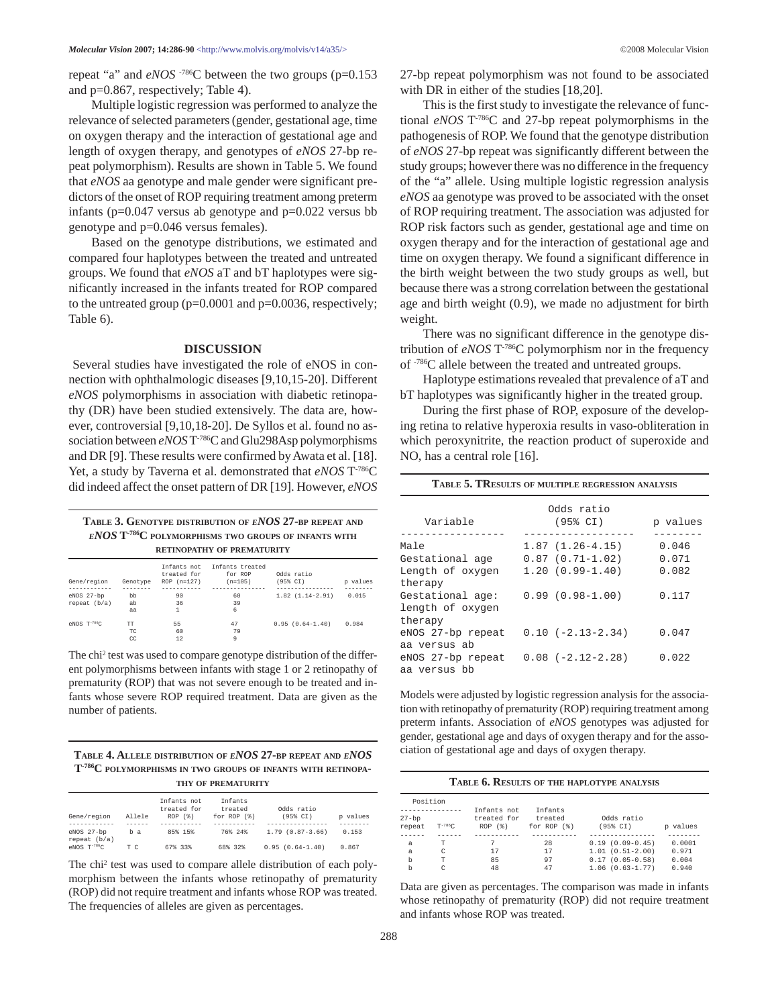repeat "a" and *eNOS* -786C between the two groups (p=0.153 and p=0.867, respectively; Table 4).

Multiple logistic regression was performed to analyze the relevance of selected parameters (gender, gestational age, time on oxygen therapy and the interaction of gestational age and length of oxygen therapy, and genotypes of *eNOS* 27-bp repeat polymorphism). Results are shown in Table 5. We found that *eNOS* aa genotype and male gender were significant predictors of the onset of ROP requiring treatment among preterm infants (p=0.047 versus ab genotype and p=0.022 versus bb genotype and p=0.046 versus females).

Based on the genotype distributions, we estimated and compared four haplotypes between the treated and untreated groups. We found that *eNOS* aT and bT haplotypes were significantly increased in the infants treated for ROP compared to the untreated group  $(p=0.0001$  and  $p=0.0036$ , respectively; Table 6).

### **DISCUSSION**

Several studies have investigated the role of eNOS in connection with ophthalmologic diseases [9,10,15-20]. Different *eNOS* polymorphisms in association with diabetic retinopathy (DR) have been studied extensively. The data are, however, controversial [9,10,18-20]. De Syllos et al. found no association between *eNOS* T-786C and Glu298Asp polymorphisms and DR [9]. These results were confirmed by Awata et al. [18]. Yet, a study by Taverna et al. demonstrated that *eNOS* T-786C did indeed affect the onset pattern of DR [19]. However, *eNOS*

## **TABLE 3. GENOTYPE DISTRIBUTION OF** *ENOS* **27-BP REPEAT AND** *ENOS* **T-786C POLYMORPHISMS TWO GROUPS OF INFANTS WITH RETINOPATHY OF PREMATURITY**

| Gene/region   | Genotype | Infants not<br>treated for<br>$ROP (n=127)$ | Infants treated<br>for ROP<br>$(n=105)$ | Odds ratio<br>(95% CI) | p values |
|---------------|----------|---------------------------------------------|-----------------------------------------|------------------------|----------|
|               |          |                                             |                                         | ------                 |          |
| eNOS 27-bp    | bb       | 90                                          | 60                                      | $1.82(1.14-2.91)$      | 0.015    |
| repeat (b/a)  | ab       | 36                                          | 39                                      |                        |          |
|               | aa       |                                             | 6                                       |                        |          |
| $eNOS T-786C$ | TT       | 55                                          | 47                                      | $0.95(0.64-1.40)$      | 0.984    |
|               | TC       | 60                                          | 79                                      |                        |          |
|               | CC       | 12                                          | 9                                       |                        |          |

The chi2 test was used to compare genotype distribution of the different polymorphisms between infants with stage 1 or 2 retinopathy of prematurity (ROP) that was not severe enough to be treated and infants whose severe ROP required treatment. Data are given as the number of patients.

#### **TABLE 4. ALLELE DISTRIBUTION OF** *ENOS* **27-BP REPEAT AND** *ENOS* **T-786C POLYMORPHISMS IN TWO GROUPS OF INFANTS WITH RETINOPA-THY OF PREMATURITY**

|                            |        | Infants not<br>treated for | <b>Tnfants</b><br>treated | Odds ratio        |          |
|----------------------------|--------|----------------------------|---------------------------|-------------------|----------|
| Gene/region                | Allele | ROP (§)                    | for $ROP(§)$              | (95% CI)          | p values |
|                            |        |                            |                           |                   |          |
| eNOS 27-bp<br>repeat (b/a) | b a    | 85% 15%                    | 76% 24%                   | $1.79(0.87-3.66)$ | 0.153    |
| $eNOS T^{-786}C$           | тc     | 67% 33%                    | 68% 32%                   | $0.95(0.64-1.40)$ | 0.867    |

The chi2 test was used to compare allele distribution of each polymorphism between the infants whose retinopathy of prematurity (ROP) did not require treatment and infants whose ROP was treated. The frequencies of alleles are given as percentages.

27-bp repeat polymorphism was not found to be associated with DR in either of the studies [18,20].

This is the first study to investigate the relevance of functional *eNOS* T-786C and 27-bp repeat polymorphisms in the pathogenesis of ROP. We found that the genotype distribution of *eNOS* 27-bp repeat was significantly different between the study groups; however there was no difference in the frequency of the "a" allele. Using multiple logistic regression analysis *eNOS* aa genotype was proved to be associated with the onset of ROP requiring treatment. The association was adjusted for ROP risk factors such as gender, gestational age and time on oxygen therapy and for the interaction of gestational age and time on oxygen therapy. We found a significant difference in the birth weight between the two study groups as well, but because there was a strong correlation between the gestational age and birth weight (0.9), we made no adjustment for birth weight.

There was no significant difference in the genotype distribution of *eNOS* T-786C polymorphism nor in the frequency of -786C allele between the treated and untreated groups.

Haplotype estimations revealed that prevalence of aT and bT haplotypes was significantly higher in the treated group.

During the first phase of ROP, exposure of the developing retina to relative hyperoxia results in vaso-obliteration in which peroxynitrite, the reaction product of superoxide and NO, has a central role [16].

| TABLE 5. TRESULTS OF MULTIPLE REGRESSION ANALYSIS |            |                        |          |  |  |
|---------------------------------------------------|------------|------------------------|----------|--|--|
|                                                   | Odds ratio |                        |          |  |  |
| Variable                                          |            | $(95\% CI)$            | p values |  |  |
| Male                                              |            | $1.87(1.26-4.15)$      | 0.046    |  |  |
| Gestational age                                   |            | $0.87$ $(0.71 - 1.02)$ | 0.071    |  |  |
| Length of oxygen<br>therapy                       |            | $1.20(0.99-1.40)$      | 0.082    |  |  |
| Gestational age:<br>length of oxygen<br>therapy   |            | $0.99(0.98 - 1.00)$    | 0.117    |  |  |
| eNOS 27-bp repeat                                 |            | $0.10 (-2.13 - 2.34)$  | 0.047    |  |  |
| aa versus ab<br>eNOS 27-bp repeat<br>aa versus bb |            | $0.08 (-2.12 - 2.28)$  | 0.022    |  |  |

Models were adjusted by logistic regression analysis for the association with retinopathy of prematurity (ROP) requiring treatment among preterm infants. Association of *eNOS* genotypes was adjusted for gender, gestational age and days of oxygen therapy and for the association of gestational age and days of oxygen therapy.

| TABLE 6. RESULTS OF THE HAPLOTYPE ANALYSIS |             |                                             |                                                 |                        |  |
|--------------------------------------------|-------------|---------------------------------------------|-------------------------------------------------|------------------------|--|
| Position                                   |             |                                             |                                                 |                        |  |
|                                            |             |                                             |                                                 |                        |  |
|                                            |             |                                             |                                                 | values                 |  |
|                                            |             |                                             |                                                 | D                      |  |
|                                            |             |                                             |                                                 |                        |  |
| т                                          | 7           | 28                                          | $0.19(0.09-0.45)$                               | 0.0001                 |  |
| C                                          | 17          | 17                                          | $1.01(0.51-2.00)$                               | 0.971                  |  |
| T                                          | 85          | 97                                          | $0.17(0.05-0.58)$                               | 0.004                  |  |
| C                                          | 48          | 47                                          | $1.06(0.63 - 1.77)$                             | 0.940                  |  |
|                                            | $T^{-786}C$ | Infants not<br>treated for<br>$ROP$ $($ $)$ | Tnfants<br>treated<br>for $ROP$ $(\frac{8}{3})$ | Odds ratio<br>(95% CI) |  |

Data are given as percentages. The comparison was made in infants whose retinopathy of prematurity (ROP) did not require treatment and infants whose ROP was treated.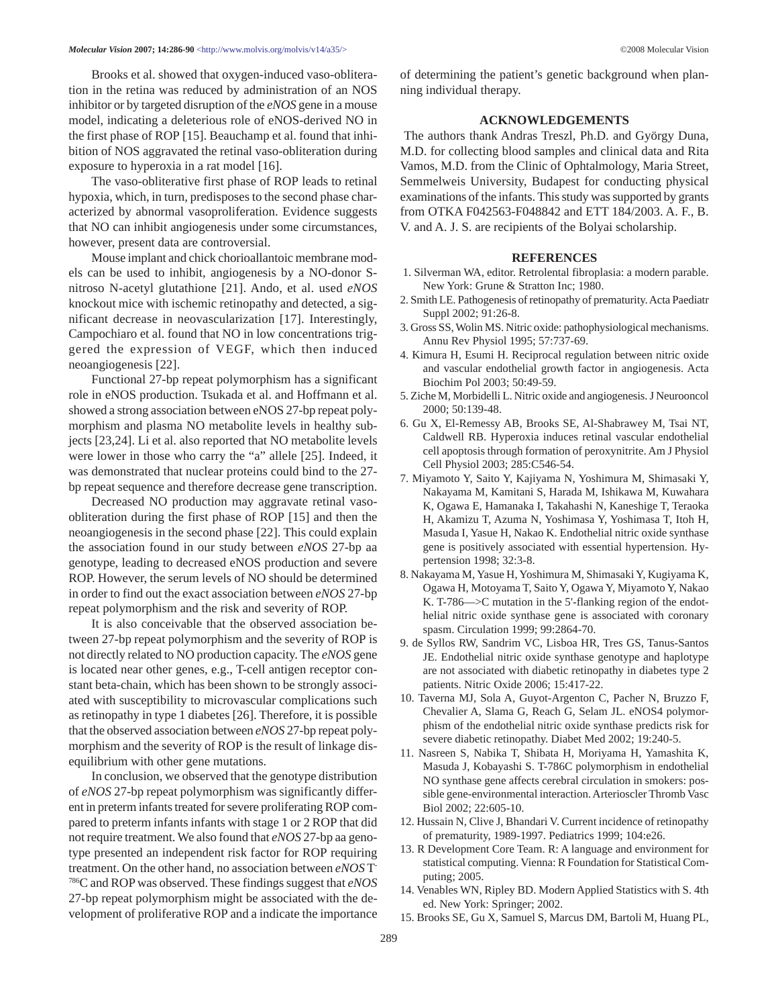Brooks et al. showed that oxygen-induced vaso-obliteration in the retina was reduced by administration of an NOS inhibitor or by targeted disruption of the *eNOS* gene in a mouse model, indicating a deleterious role of eNOS-derived NO in the first phase of ROP [15]. Beauchamp et al. found that inhibition of NOS aggravated the retinal vaso-obliteration during exposure to hyperoxia in a rat model [16].

The vaso-obliterative first phase of ROP leads to retinal hypoxia, which, in turn, predisposes to the second phase characterized by abnormal vasoproliferation. Evidence suggests that NO can inhibit angiogenesis under some circumstances, however, present data are controversial.

Mouse implant and chick chorioallantoic membrane models can be used to inhibit, angiogenesis by a NO-donor Snitroso N-acetyl glutathione [21]. Ando, et al. used *eNOS* knockout mice with ischemic retinopathy and detected, a significant decrease in neovascularization [17]. Interestingly, Campochiaro et al. found that NO in low concentrations triggered the expression of VEGF, which then induced neoangiogenesis [22].

Functional 27-bp repeat polymorphism has a significant role in eNOS production. Tsukada et al. and Hoffmann et al. showed a strong association between eNOS 27-bp repeat polymorphism and plasma NO metabolite levels in healthy subjects [23,24]. Li et al. also reported that NO metabolite levels were lower in those who carry the "a" allele [25]. Indeed, it was demonstrated that nuclear proteins could bind to the 27 bp repeat sequence and therefore decrease gene transcription.

Decreased NO production may aggravate retinal vasoobliteration during the first phase of ROP [15] and then the neoangiogenesis in the second phase [22]. This could explain the association found in our study between *eNOS* 27-bp aa genotype, leading to decreased eNOS production and severe ROP. However, the serum levels of NO should be determined in order to find out the exact association between *eNOS* 27-bp repeat polymorphism and the risk and severity of ROP.

It is also conceivable that the observed association between 27-bp repeat polymorphism and the severity of ROP is not directly related to NO production capacity. The *eNOS* gene is located near other genes, e.g., T-cell antigen receptor constant beta-chain, which has been shown to be strongly associated with susceptibility to microvascular complications such as retinopathy in type 1 diabetes [26]. Therefore, it is possible that the observed association between *eNOS* 27-bp repeat polymorphism and the severity of ROP is the result of linkage disequilibrium with other gene mutations.

In conclusion, we observed that the genotype distribution of *eNOS* 27-bp repeat polymorphism was significantly different in preterm infants treated for severe proliferating ROP compared to preterm infants infants with stage 1 or 2 ROP that did not require treatment. We also found that *eNOS* 27-bp aa genotype presented an independent risk factor for ROP requiring treatment. On the other hand, no association between *eNOS* T-786C and ROP was observed. These findings suggest that *eNOS* 27-bp repeat polymorphism might be associated with the development of proliferative ROP and a indicate the importance of determining the patient's genetic background when planning individual therapy.

#### **ACKNOWLEDGEMENTS**

The authors thank Andras Treszl, Ph.D. and György Duna, M.D. for collecting blood samples and clinical data and Rita Vamos, M.D. from the Clinic of Ophtalmology, Maria Street, Semmelweis University, Budapest for conducting physical examinations of the infants. This study was supported by grants from OTKA F042563-F048842 and ETT 184/2003. A. F., B. V. and A. J. S. are recipients of the Bolyai scholarship.

#### **REFERENCES**

- 1. Silverman WA, editor. Retrolental fibroplasia: a modern parable. New York: Grune & Stratton Inc; 1980.
- 2. Smith LE. Pathogenesis of retinopathy of prematurity. Acta Paediatr Suppl 2002; 91:26-8.
- 3. Gross SS, Wolin MS. Nitric oxide: pathophysiological mechanisms. Annu Rev Physiol 1995; 57:737-69.
- 4. Kimura H, Esumi H. Reciprocal regulation between nitric oxide and vascular endothelial growth factor in angiogenesis. Acta Biochim Pol 2003; 50:49-59.
- 5. Ziche M, Morbidelli L. Nitric oxide and angiogenesis. J Neurooncol 2000; 50:139-48.
- 6. Gu X, El-Remessy AB, Brooks SE, Al-Shabrawey M, Tsai NT, Caldwell RB. Hyperoxia induces retinal vascular endothelial cell apoptosis through formation of peroxynitrite. Am J Physiol Cell Physiol 2003; 285:C546-54.
- 7. Miyamoto Y, Saito Y, Kajiyama N, Yoshimura M, Shimasaki Y, Nakayama M, Kamitani S, Harada M, Ishikawa M, Kuwahara K, Ogawa E, Hamanaka I, Takahashi N, Kaneshige T, Teraoka H, Akamizu T, Azuma N, Yoshimasa Y, Yoshimasa T, Itoh H, Masuda I, Yasue H, Nakao K. Endothelial nitric oxide synthase gene is positively associated with essential hypertension. Hypertension 1998; 32:3-8.
- 8. Nakayama M, Yasue H, Yoshimura M, Shimasaki Y, Kugiyama K, Ogawa H, Motoyama T, Saito Y, Ogawa Y, Miyamoto Y, Nakao K. T-786—>C mutation in the 5'-flanking region of the endothelial nitric oxide synthase gene is associated with coronary spasm. Circulation 1999; 99:2864-70.
- 9. de Syllos RW, Sandrim VC, Lisboa HR, Tres GS, Tanus-Santos JE. Endothelial nitric oxide synthase genotype and haplotype are not associated with diabetic retinopathy in diabetes type 2 patients. Nitric Oxide 2006; 15:417-22.
- 10. Taverna MJ, Sola A, Guyot-Argenton C, Pacher N, Bruzzo F, Chevalier A, Slama G, Reach G, Selam JL. eNOS4 polymorphism of the endothelial nitric oxide synthase predicts risk for severe diabetic retinopathy. Diabet Med 2002; 19:240-5.
- 11. Nasreen S, Nabika T, Shibata H, Moriyama H, Yamashita K, Masuda J, Kobayashi S. T-786C polymorphism in endothelial NO synthase gene affects cerebral circulation in smokers: possible gene-environmental interaction. Arterioscler Thromb Vasc Biol 2002; 22:605-10.
- 12. Hussain N, Clive J, Bhandari V. Current incidence of retinopathy of prematurity, 1989-1997. Pediatrics 1999; 104:e26.
- 13. R Development Core Team. R: A language and environment for statistical computing. Vienna: R Foundation for Statistical Computing; 2005.
- 14. Venables WN, Ripley BD. Modern Applied Statistics with S. 4th ed. New York: Springer; 2002.
- 15. Brooks SE, Gu X, Samuel S, Marcus DM, Bartoli M, Huang PL,